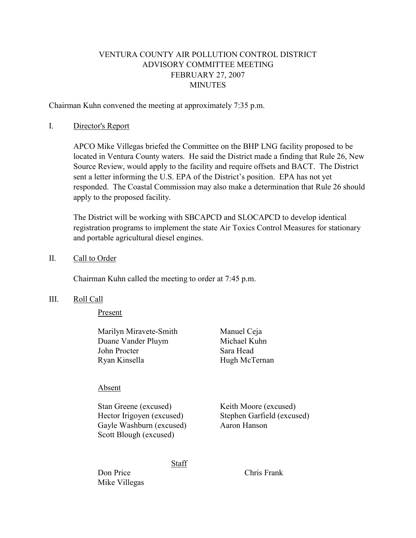# VENTURA COUNTY AIR POLLUTION CONTROL DISTRICT ADVISORY COMMITTEE MEETING FEBRUARY 27, 2007 **MINUTES**

Chairman Kuhn convened the meeting at approximately 7:35 p.m.

### I. Director's Report

 APCO Mike Villegas briefed the Committee on the BHP LNG facility proposed to be located in Ventura County waters. He said the District made a finding that Rule 26, New Source Review, would apply to the facility and require offsets and BACT. The District sent a letter informing the U.S. EPA of the District's position. EPA has not yet responded. The Coastal Commission may also make a determination that Rule 26 should apply to the proposed facility.

 The District will be working with SBCAPCD and SLOCAPCD to develop identical registration programs to implement the state Air Toxics Control Measures for stationary and portable agricultural diesel engines.

### II. Call to Order

Chairman Kuhn called the meeting to order at 7:45 p.m.

### III. Roll Call

Present

 Marilyn Miravete-Smith Manuel Ceja Duane Vander Pluym Michael Kuhn John Procter Sara Head Ryan Kinsella Hugh McTernan

# Absent

Stan Greene (excused) Keith Moore (excused) Hector Irigoyen (excused) Stephen Garfield (excused) Gayle Washburn (excused) Aaron Hanson Scott Blough (excused)

Staff

Don Price Chris Frank Mike Villegas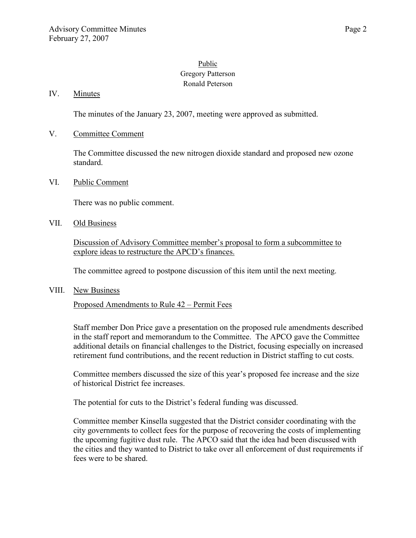# Public Gregory Patterson Ronald Peterson

## IV. Minutes

The minutes of the January 23, 2007, meeting were approved as submitted.

### V. Committee Comment

The Committee discussed the new nitrogen dioxide standard and proposed new ozone standard.

### VI. Public Comment

There was no public comment.

#### VII. Old Business

Discussion of Advisory Committee member's proposal to form a subcommittee to explore ideas to restructure the APCD's finances.

The committee agreed to postpone discussion of this item until the next meeting.

#### VIII. New Business

Proposed Amendments to Rule 42 – Permit Fees

Staff member Don Price gave a presentation on the proposed rule amendments described in the staff report and memorandum to the Committee. The APCO gave the Committee additional details on financial challenges to the District, focusing especially on increased retirement fund contributions, and the recent reduction in District staffing to cut costs.

Committee members discussed the size of this year's proposed fee increase and the size of historical District fee increases.

The potential for cuts to the District's federal funding was discussed.

Committee member Kinsella suggested that the District consider coordinating with the city governments to collect fees for the purpose of recovering the costs of implementing the upcoming fugitive dust rule. The APCO said that the idea had been discussed with the cities and they wanted to District to take over all enforcement of dust requirements if fees were to be shared.